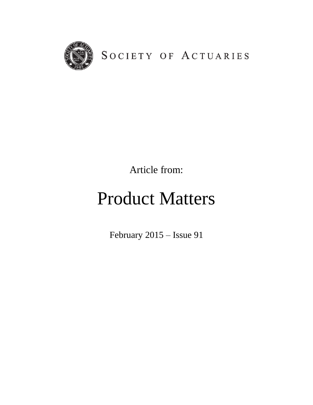

SOCIETY OF ACTUARIES

Article from:

# Product Matters

February 2015 – Issue 91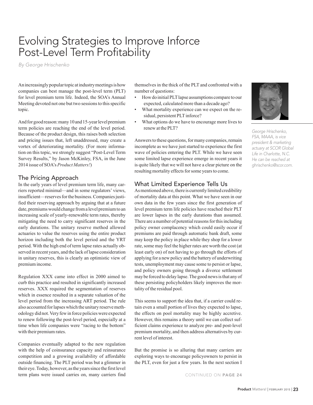# Evolving Strategies to Improve Inforce Post-Level Term Profitability

*By George Hrischenko*

An increasingly popular topic at industry meetings is how companies can best manage the post-level term (PLT) for level premium term life. Indeed, the SOA's Annual Meeting devoted not one but two sessions to this specific topic.

And for good reason: many 10 and 15-year level premium term policies are reaching the end of the level period. Because of the product design, this raises both selection and pricing issues that, left unaddressed, may create a vortex of deteriorating mortality. (For more information on this topic, we strongly suggest "Post-Level Term Survey Results," by Jason McKinley, FSA, in the June 2014 issue of SOA's *Product Matters!*)

## The Pricing Approach

In the early years of level premium term life, many carriers reported minimal—and in some regulators' views, insufficient—reserves for the business. Companies justified their reserving approach by arguing that at a future date, premiums would change from a level premium to an increasing scale of yearly-renewable term rates, thereby mitigating the need to carry significant reserves in the early durations. The unitary reserve method allowed actuaries to value the reserves using the entire product horizon including both the level period and the YRT period. With the high end of term lapse rates actually observed in recent years, and the lack of lapse consideration in unitary reserves, this is clearly an optimistic view of premium income.

Regulation XXX came into effect in 2000 aimed to curb this practice and resulted in significantly increased reserves. XXX required the segmentation of reserves which in essence resulted in a separate valuation of the level period from the increasing ART period. The rule also accounted for lapses which the unitary reserve methodology did not. Very few in force policies were expected to renew following the post-level period, especially at a time when life companies were "racing to the bottom" with their premium rates.

Companies eventually adapted to the new regulation with the help of coinsurance capacity and reinsurance competition and a growing availability of affordable outside financing. The PLT period was but a glimmer in their eye. Today, however, as the years since the first level term plans were issued carries on, many carriers find CONTINUED ON PAGE 24

themselves in the thick of the PLT and confronted with a number of questions:

- How do initial PLT lapse assumptions compare to our expected, calculated more than a decade ago?
- What mortality experience can we expect on the residual, persistent PLT inforce?
- What options do we have to encourage more lives to renew at the PLT?

Answers to these questions, for many companies, remain incomplete as we have just started to experience the first wave of policies entering the PLT. While we have seen some limited lapse experience emerge in recent years it is quite likely that we will not have a clear picture on the resulting mortality effects for some years to come.

# What Limited Experience Tells Us

As mentioned above, there is currently limited credibility of mortality data at this point. What we have seen in our own data in the few years since the first generation of level premium term life policies have reached their PLT are lower lapses in the early durations than assumed. There are a number of potential reasons for this including policy owner complacency which could easily occur if premiums are paid through automatic bank draft, some may keep the policy in place while they shop for a lower rate, some may feel the higher rates are worth the cost (at least early on) of not having to go through the efforts of applying for a new policy and the battery of underwriting tests, unemployment may cause some to persist or lapse, and policy owners going through a divorce settlement may be forced to delay lapse. The good news is that any of these persisting policyholders likely improves the mortality of the residual pool.

This seems to support the idea that, if a carrier could retain even a small portion of lives they expected to lapse, the effects on pool mortality may be highly accretive. However, this remains a theory until we can collect sufficient claims experience to analyze pre- and post-level premium mortality, and then address alternatives by current level of interest.

But the promise is so alluring that many carriers are exploring ways to encourage policyowners to persist in the PLT, even for just a few years. In the next section I



*George Hrischenko, FSA, MAAA, is vice president & marketing actuary at SCOR Global Life in Charlotte, N.C. He can be reached at ghrischenko@scor.com.*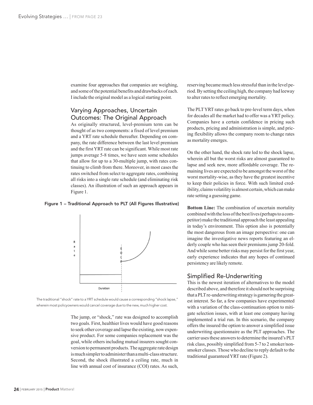examine four approaches that companies are weighing, and some of the potential benefits and drawbacks of each. I include the original model as a logical starting point.

# Varying Approaches, Uncertain Outcomes: The Original Approach

As originally structured, level-premium term can be thought of as two components: a fixed of level premium and a YRT rate schedule thereafter. Depending on company, the rate difference between the last level premium and the first YRT rate can be significant. While most rate jumps average 5-8 times, we have seen some schedules that allow for up to a 30-multiple jump, with rates continuing to climb from there. Moreover, in most cases the rates switched from select to aggregate rates, combining all risks into a single rate schedule (and eliminating risk classes). An illustration of such an approach appears in Figure 1.

#### Figure 1 – Traditional Approach to PLT (All Figures Illustrative)



The traditional "shock" rate to a YRT schedule would cause a corresponding "shock lapse," wherein most policyowners would cancel coverage due to the new, much higher cost.

> The jump, or "shock," rate was designed to accomplish two goals. First, healthier lives would have good reasons to seek other coverage and lapse the existing, now expensive product. For some companies replacement was the goal, while others including mutual insurers sought conversion to permanent products. The aggregate rate design is much simpler to administer than a multi-class structure. Second, the shock illustrated a ceiling rate, much in line with annual cost of insurance (COI) rates. As such,

reserving became much less stressful than in the level period. By setting the ceiling high, the company had leeway to alter rates to reflect emerging mortality.

The PLT YRT rates go back to pre-level term days, when for decades all the market had to offer was a YRT policy. Companies have a certain confidence in pricing such products, pricing and administration is simple, and pricing flexibility allows the company room to change rates as mortality emerges.

On the other hand, the shock rate led to the shock lapse, wherein all but the worst risks are almost guaranteed to lapse and seek new, more affordable coverage. The remaining lives are expected to be amongst the worst of the worst mortality-wise, as they have the greatest incentive to keep their policies in force. With such limited credibility, claims volatility is almost certain, which can make rate setting a guessing game.

**Bottom Line:** The combination of uncertain mortality combined with the loss of the best lives (perhaps to a competitor) make the traditional approach the least appealing in today's environment. This option also is potentially the most dangerous from an image perspective: one can imagine the investigative news reports featuring an elderly couple who has seen their premiums jump 20-fold. And while some better risks may persist for the first year, early experience indicates that any hopes of continued persistency are likely remote.

#### Simplified Re-Underwriting

This is the newest iteration of alternatives to the model described above, and therefore it should not be surprising that a PLT re-underwriting strategy is garnering the greatest interest. So far, a few companies have experimented with a variation of the class-continuation option to mitigate selection issues, with at least one company having implemented a trial run. In this scenario, the company offers the insured the option to answer a simplified issue underwriting questionnaire as the PLT approaches. The carrier uses these answers to determine the insured's PLT risk class, possibly simplified from 5-7 to 2 smoker/nonsmoker classes. Those who decline to reply default to the traditional guaranteed YRT rate (Figure 2).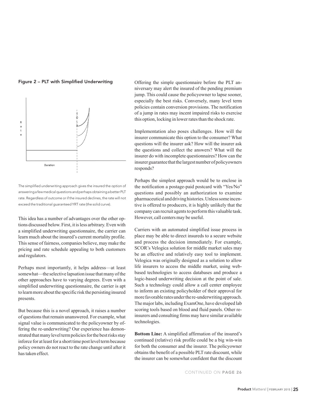



The simplified underwriting approach gives the insured the option of answering a few medical questions and perhaps obtaining a better PLT rate. Regardless of outcome or if the insured declines, the rate will not exceed the traditional guaranteed YRT rate (the solid curve).

This idea has a number of advantages over the other options discussed below. First, it is less arbitrary. Even with a simplified underwriting questionnaire, the carrier can learn much about the insured's current mortality profile. This sense of fairness, companies believe, may make the pricing and rate schedule appealing to both customers and regulators.

Perhaps most importantly, it helps address—at least somewhat—the selective lapsation issue that many of the other approaches have to varying degrees. Even with a simplified underwriting questionnaire, the carrier is apt to learn more about the specific risk the persisting insured presents.

But because this is a novel approach, it raises a number of questions that remain unanswered. For example, what signal value is communicated to the policyowner by offering the re-underwriting? Our experience has demonstrated that many level term policies for the best risks stay inforce for at least for a short time post level term because policy owners do not react to the rate change until after it has taken effect.

Offering the simple questionnaire before the PLT an‑ niversary may alert the insured of the pending premium jump. This could cause the policyowner to lapse sooner, especially the best risks. Conversely, many level term policies contain conversion provisions. The notification of a jump in rates may incent impaired risks to exercise this option, locking in lower rates than the shock rate.

Implementation also poses challenges. How will the insurer communicate this option to the consumer? What questions will the insurer ask? How will the insurer ask the questions and collect the answers? What will the insurer do with incomplete questionnaires? How can the insurer guarantee that the largest number of policyowners responds?

Perhaps the simplest approach would be to enclose in the notification a postage-paid postcard with "Yes/No" questions and possibly an authorization to examine pharmaceutical and driving histories. Unless some incentive is offered to producers, it is highly unlikely that the company can recruit agents to perform this valuable task. However, call centers may be useful.

Carriers with an automated simplified issue process in place may be able to direct insureds to a secure website and process the decision immediately. For example, SCOR's Velogica solution for middle market sales may be an effective and relatively easy tool to implement. Velogica was originally designed as a solution to allow life insurers to access the middle market, using webbased technologies to access databases and produce a logic-based underwriting decision at the point of sale. Such a technology could allow a call center employee to inform an existing policyholder of their approval for more favorable rates under the re-underwriting approach. The major labs, including ExamOne, have developed lab scoring tools based on blood and fluid panels. Other reinsurers and consulting firms may have similar available technologies.

**Bottom Line:** A simplified affirmation of the insured's continued (relative) risk profile could be a big win-win for both the consumer and the insurer. The policyowner obtains the benefit of a possible PLT rate discount, while the insurer can be somewhat confident that the discount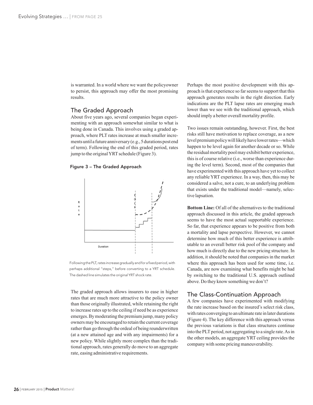is warranted. In a world where we want the policyowner to persist, this approach may offer the most promising results.

#### The Graded Approach

About five years ago, several companies began experimenting with an approach somewhat similar to what is being done in Canada. This involves using a graded approach, where PLT rates increase at much smaller increments until a future anniversary (e.g., 5 durations post end of term). Following the end of this graded period, rates jump to the original YRT schedule (Figure 3).

#### Figure 3 – The Graded Approach



Following the PLT, rates increase gradually and for a fixed period, with perhaps additional "steps," before converting to a YRT schedule. The dashed line simulates the original YRT shock rate.

The graded approach allows insurers to ease in higher rates that are much more attractive to the policy owner than those originally illustrated, while retaining the right to increase rates up to the ceiling if need be as experience emerges. By moderating the premium jump, many policy owners may be encouraged to retain the current coverage rather than go through the ordeal of being reunderwritten (at a new attained age and with any impairments) for a new policy. While slightly more complex than the traditional approach, rates generally do move to an aggregate rate, easing administrative requirements.

Perhaps the most positive development with this approach is that experience so far seems to support that this approach generates results in the right direction. Early indications are the PLT lapse rates are emerging much lower than we see with the traditional approach, which should imply a better overall mortality profile.

Two issues remain outstanding, however. First, the best risks still have motivation to replace coverage, as a new level premium policy will likely have lower rates—which happen to be level again for another decade or so. While the residual mortality pool may exhibit better experience, this is of course relative (*i.e.*, worse than experience during the level term). Second, most of the companies that have experimented with this approach have yet to collect any reliable YRT experience. In a way, then, this may be considered a salve, not a cure, to an underlying problem that exists under the traditional model—namely, selective lapsation.

**Bottom Line:** Of all of the alternatives to the traditional approach discussed in this article, the graded approach seems to have the most actual supportable experience. So far, that experience appears to be positive from both a mortality and lapse perspective. However, we cannot determine how much of this better experience is attributable to an overall better risk pool of the company and how much is directly due to the new pricing structure. In addition, it should be noted that companies in the market where this approach has been used for some time, i.e. Canada, are now examining what benefits might be had by switching to the traditional U.S. approach outlined above. Do they know something we don't?

## The Class-Continuation Approach

A few companies have experimented with modifying the rate increase based on the insured's select risk class, with rates converging to an ultimate rate in later durations (Figure 4). The key difference with this approach versus the previous variations is that class structures continue into the PLT period, not aggregating to a single rate. As in the other models, an aggregate YRT ceiling provides the company with some pricing maneuverability.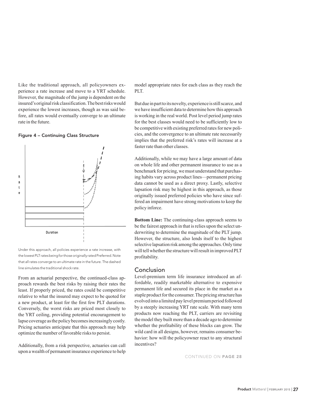Like the traditional approach, all policyowners experience a rate increase and move to a YRT schedule. However, the magnitude of the jump is dependent on the insured's original risk classification. The best risks would experience the lowest increases, though as was said before, all rates would eventually converge to an ultimate rate in the future.





Under this approach, all policies experience a rate increase, with the lowest PLT rates being for those originally rated Preferred. Note that all rates converge to an ultimate rate in the future. The dashed line simulates the traditional shock rate.

From an actuarial perspective, the continued-class approach rewards the best risks by raising their rates the least. If properly priced, the rates could be competitive relative to what the insured may expect to be quoted for a new product, at least for the first few PLT durations. Conversely, the worst risks are priced most closely to the YRT ceiling, providing potential encouragement to lapse coverage as the policy becomes increasingly costly. Pricing actuaries anticipate that this approach may help optimize the number of favorable risks to persist.

Additionally, from a risk perspective, actuaries can call upon a wealth of permanent insurance experience to help model appropriate rates for each class as they reach the PLT.

But due in part to its novelty, experience is still scarce, and we have insufficient data to determine how this approach is working in the real world. Post level period jump rates for the best classes would need to be sufficiently low to be competitive with existing preferred rates for new policies, and the convergence to an ultimate rate necessarily implies that the preferred risk's rates will increase at a faster rate than other classes.

Additionally, while we may have a large amount of data on whole life and other permanent insurance to use as a benchmark for pricing, we must understand that purchasing habits vary across product lines—permanent pricing data cannot be used as a direct proxy. Lastly, selective lapsation risk may be highest in this approach, as those originally issued preferred policies who have since suffered an impairment have strong motivations to keep the policy inforce.

**Bottom Line:** The continuing-class approach seems to be the fairest approach in that is relies upon the select underwriting to determine the magnitude of the PLT jump. However, the structure, also lends itself to the highest selective lapsation risk among the approaches. Only time will tell whether the structure will result in improved PLT profitability.

#### Conclusion

Level-premium term life insurance introduced an affordable, readily marketable alternative to expensive permanent life and secured its place in the market as a staple product for the consumer. The pricing structure has evolved into a limited pay level premium period followed by a steeply increasing YRT rate scale. With many term products now reaching the PLT, carriers are revisiting the model they built more than a decade ago to determine whether the profitability of these blocks can grow. The wild card in all designs, however, remains consumer behavior: how will the policyowner react to any structural incentives?

CONTINUED ON PAGE 28